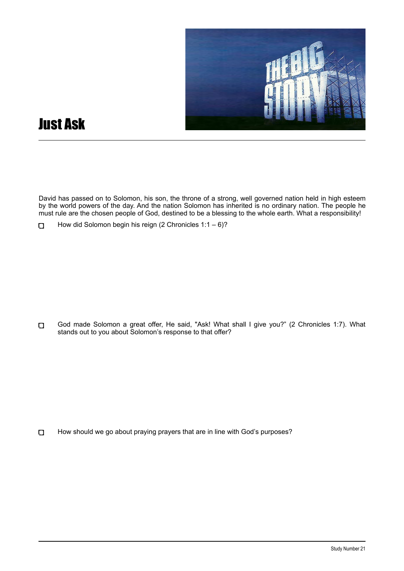

## Just Ask

David has passed on to Solomon, his son, the throne of a strong, well governed nation held in high esteem by the world powers of the day. And the nation Solomon has inherited is no ordinary nation. The people he must rule are the chosen people of God, destined to be a blessing to the whole earth. What a responsibility!

God made Solomon a great offer, He said, "Ask! What shall I give you?" (2 Chronicles 1:7). What  $\Box$ stands out to you about Solomon's response to that offer?

How should we go about praying prayers that are in line with God's purposes?  $\Box$ 

How did Solomon begin his reign (2 Chronicles 1:1 – 6)?  $\Box$